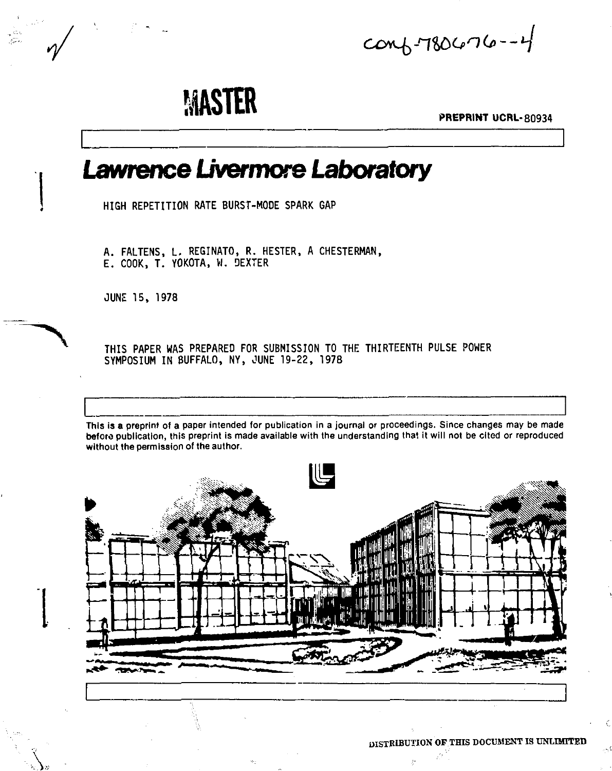*cc^-ny^onG"^* 

# **MASTER**

PREPRINT UCRL-80934

# **Lawrence** *Uvermore Laboratory*

**HIGH REPETITION RATE BURST-MODE SPARK GAP** 

**A. FALTENS, L. REGINATO, R. HESTER, A CHESTERMAN, E. COOK, T. YOKOTA, W. DEXTER** 

**JUNE 15, 1978** 

**/** 

**THIS PAPER WAS PREPARED FOR SUBMISSION TO THE THIRTEENTH PULSE POWER SYMPOSIUM IN BUFFALO, NY, JUNE 19-22, 1978** 

This is a preprint of a paper intended for publication in a journal or proceedings. Since changes may be made before publication, this preprint is made available with the understanding that it will not be cited or reproduced without the permission of the author.

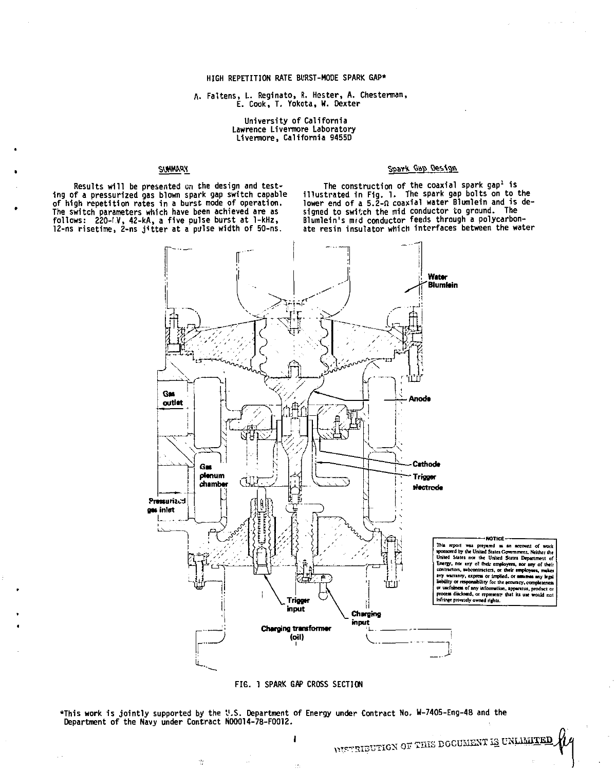## HIGH REPETITION RATE BURST-MODE SPARK GAP\*

A. Faltens, L. Reginato, R. Hester, A. Chesterman, E. Cook, T. Yokota, W. Dexter

> University of California Lawrence Livermore Laboratory Livermore, California 9455D

## SUMMARY

Results will be presented on the design and testing of a pressurized gas blown spark gap switch capable of high repetition rates in a burst mode of operation.<br>The switch parameters which have been achieved are as<br>follows: 220-1%, 42-kA, a five pulse burst at 1-kHz,<br>12-ns risetime, 2-ns jitter at a pulse width of 50-ns.

# Spark Gap Design

The construction of the coaxial spark gap<sup>1</sup> is<br>illustrated in Fig. 1. The spark gap bolts on to the<br>lower end of a 5.2-0 coaxial water Blumlein and is designed to switch the mid conductor to ground. The<br>Blumlein's mid conductor feeds through a polycarbonate resin insulator which interfaces between the water

WESTRIPUTION OF THE DOCUMENT IS UNLIMITED



FIG. 1 SPARK GAP CROSS SECTION

\*This work is jointly supported by the U.S. Department of Energy under Contract No. W-7405-Eng-48 and the<br>Department of the Navy under Contract N00014-78-F0012.

Ŵ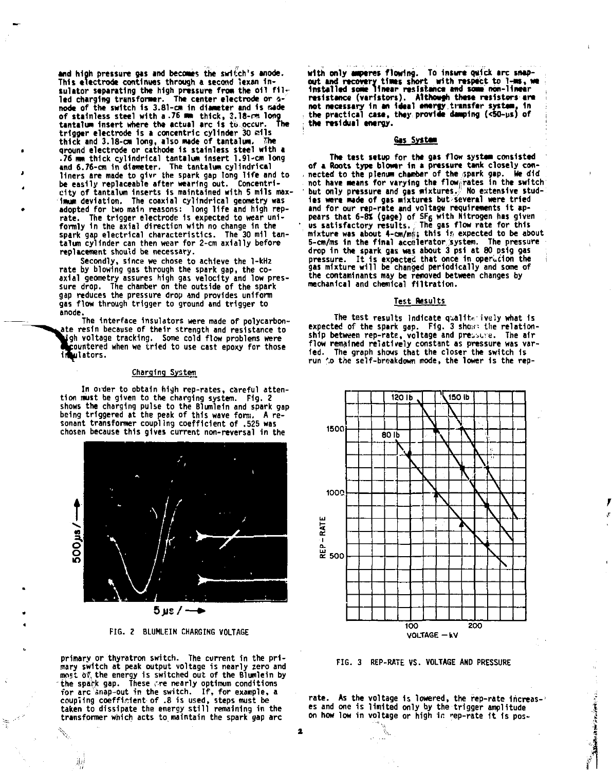**and high pressure gas ami becomes the switch's anode. This electrode continues through a second lexan in**sulator separating the high pressure from the oil fil<sub>.</sub><br>led charging transformer. The center electrode or 4-<sup>-</sup><br>node of the switch is 3.81-cm in diameter and is sade **of stainless steel with a .76** *m* **thick, 3.18-rr. long tantalum Insert where the actual arc Is to occur. The trigger electrode 1s a concentric cylinder 30 mils thick and 3.18-cm long, also made of tantalum, the ground electrode or cathode 1s stainless steel with a .76 mm thick cylindrical tantalum Insert 1.91-cm long and 6.76-cm 1n diameter. The tantalum cylindrical liners are made to glvr the spark gap long life and to be easily replaceable after wearing out. Concentricity of tantalum Inserts is maintained with 5 mils maximum deviation. The coaxial cylindrical geometry was adopted for two main reasons: long life and high reprate. The trigger electrode 1s expected to wear uniformly in the axial direction with no change 1n the spark gap electrical characteristics. The 30 mil tantalum cylinder can then wear for 2-cm axially before replacement should be necessary.** 

**Secondly, since we chose to achieve the 1-kHz rate by blowing gas through the spark gap, the coaxial geometry assures high gas velocity and low pressure drop. The chamber on the outside of the spark gap reduces the pressure drop and provides uniform gas flow through trigger to ground and trigger to anode.** 

ate resin because of their strength and resistance to **i**gh voltage tracking. Some cold flow problems were<br>**Countered when we tried to use cast epoxy for those •coi inVlators. The interface insulators were made of polycarbon-**

#### **Charging System**

In order to obtain high rep-rates, careful atten**tion must be given to the charging system. Fig. 2 shows the charging pulse to the Blumlein and spark gap being triggered at the peak of this wave form. A re-sonant transformer coupling coefficient of .525 was chosen because this gives current non-reversal 1n the** 



**FIG. 2 BLUMLEIN CHARGING VOLTAGE** 

**primary or thyratron switch. The current in the pri**mary switch at peak output voltage is nearly zero and<br>most of the energy is switched out of the Blumlein by<br>the spack gap. These cre nearly optimum conditions<br>for arc anap-out in the switch. If, for example, a<br>coupling coe **transformer which acts to. maintain the spark gap arc** 

١ź,

jiri

**with only amperes flowing. To Insure quick arc snap-out and recovery times short with respect to 1-ms, we Installed some linear resistance and tarn non-1 Inter resistance (varistors). Altheafh these resistors are ; not necessary In an Ideal enerey transfer system. In the practical case, they provide damping (<50-us) of the residual energy.** 

#### **6as System**

**The test setup for the gas flow system consisted of a Roots type blower In a pressure tank closely con** n nected to the plenum chamber of the spark gap. We did<br>not have means for varying the flow@rates in the switch<br>'but only pressure and gas mixtures. No extensive stud-<br>ies were made of gas mixtures but several were tried and for our rep-rate and voltage requirements it ap-<br>pears that 6-8% (gage) of SF<sub>6</sub> with Nitrogen has given<br>us satisfactory results. The gas flow rate for this<br>mixture was about 4-cm/ms: this is expected to be about **5-cm/ms 1n the final accelerator system. The pressure drop in the spark gas was about 3 psl at 80 pslg gas**  p<del>re</del>ssure. It is expected that once in operation the ii<br>gas mixture will be changed periodically and some of **the contaminants may be removed between changes by mechanical and chemical filtration.** 

#### **Test Results**

The test results indicate qualite ively what is **expected of the spark gap. Fig. 3 show- the relation-** $\mathsf{ship\ between\ rep-rate, voltage\ and\ preuser. \ The\ air\ flow\ remainled relatively constant as pressure was var$ **ied. The graph shows that the closer the switch is run ',o the self-breakdown mode, the lower 1s the rep-**



**FIG. 3 REP-RATE VS. VOLTAGE AND PRESSURE** 

**rate. As the voltage is lowered, the rep-rate increases and one is limited only by the trigger amplitude on how low in voltage or high in \*\*ep-rate it is pos-** ● 「「「「「「「「「「「」」」」」」

 $\overline{\mathbf{z}}$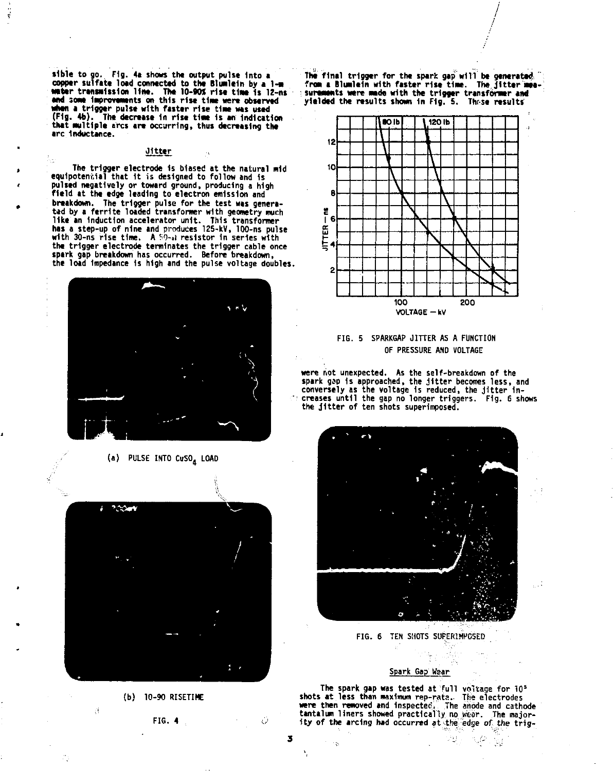sible to go. Fig. 4a shows the output pulse into a<br>copper sulfate load connected to the Blumlein by a l-m<br>water transmission line. The 10-90% rise time is 12-ns<br>and some improvements on this rise time were observed **when a trigger pulse with faster rise time was used**  (Fig. **\*b). The decrease In rise time 1s an Indication that multiple arcs are occurring, thus decreasing the arc Inductance.** 

# **Jitter**

 $\bar{\beta}$ 

**The trigger electrode 1s biased at the natural mid equipoteniial that It is designed to follow and Is pulsed negatively or toward ground, producing a nigh field at the edge leading to electron emission and**  breakdown. The trigger pulse for the test was genera-<br>ted by a ferrite loaded transformer with geometry much<br>like an induction accelerator unit. This transformer<br>has a step-up of nine and produces 125-kV, 100-ns pulse<br>with **spark gap breakdown has occurred. Before breakdown, the load Impedance is high and the pulse voltage doubles.** 



(a) PULSE INTO CuSO<sub>4</sub> LOAD



(b) 10-90 RISETIME

7ť

FIG. 4

ŵ

 $\mathbf{3}$ 

**The final trigger for the spark gap will be generated from a Blumleln with faster rise time. The Jitter mea surememts were mode with the trigger transformer and yielded the results shown in Fig. S. These results** 



# **FIG. 5 SPARKGAP JITTER AS A FUNCTION OF PRESSURE AND VOLTAGE**

were not unexpected. As the self-breakdown of the<br>spark gop is approached, the jitter becomes less, and<br>conversely as the voltage is reduced, the jitter in-<br>creases until the gap no longer triggers. Fig. 6 shows<br>the jitter



FIG. 6 TEN SHOTS SUPERIMPOSED

#### Spark Gap Wear

The spark gap was tested at full voltage for 10<sup>5</sup> **shots at less than maximum** rep-rata. The electrodes **were** then **removed** and Inspected, The anode and cathode **tantalum** liners showed practically no wrier. The majority of the arcing had occurred at the edge of the trig